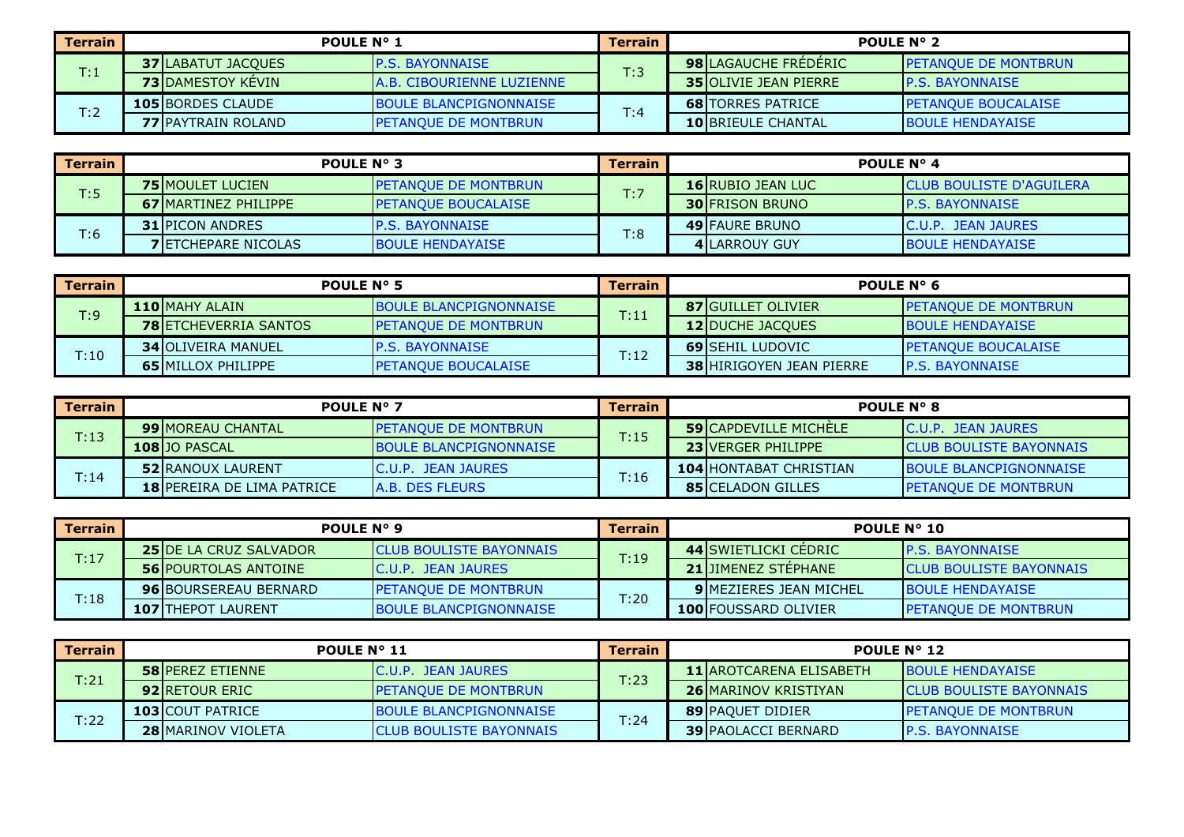| Terrain            | <b>POULE N° 1</b>          |                                  | <b>Terrain</b> | <b>POULE N° 2</b>            |                              |  |
|--------------------|----------------------------|----------------------------------|----------------|------------------------------|------------------------------|--|
| $\mathsf{T} {:} 1$ | <b>37 ILABATUT JACOUES</b> | <b>IP.S. BAYONNAISE</b>          | T:3            | <b>98 LAGAUCHE FREDERIC</b>  | <b>IPETANOUE DE MONTBRUN</b> |  |
|                    | <b>73 DAMESTOY KEVIN</b>   | <b>A.B. CIBOURIENNE LUZIENNE</b> |                | <b>35 OLIVIE JEAN PIERRE</b> | <b>P.S. BAYONNAISE</b>       |  |
|                    | <b>105 BORDES CLAUDE</b>   | <b>BOULE BLANCPIGNONNAISE</b>    | T:4            | <b>68 ITORRES PATRICE</b>    | <b>IPETANOUE BOUCALAISE</b>  |  |
| T:2                | <b>77 IPAYTRAIN ROLAND</b> | <b>IPETANOUE DE MONTBRUN</b>     |                | <b>10 BRIEULE CHANTAL</b>    | <b>BOULE HENDAYAISE</b>      |  |

| Terrain | <b>POULE N° 3</b>           |                             | <b>Terrain</b> | <b>POULE N° 4</b>        |                                 |  |
|---------|-----------------------------|-----------------------------|----------------|--------------------------|---------------------------------|--|
| T:5     | <b>75 MOULET LUCIEN</b>     | <b>PETANOUE DE MONTBRUN</b> | T:7            | <b>16 RUBIO JEAN LUC</b> | <b>CLUB BOULISTE D'AGUILERA</b> |  |
|         | <b>67IMARTINEZ PHILIPPE</b> | <b>IPETANOUE BOUCALAISE</b> |                | <b>30 IFRISON BRUNO</b>  | <b>P.S. BAYONNAISE</b>          |  |
| T:6     | <b>31 IPICON ANDRES</b>     | <b>IP.S. BAYONNAISE</b>     |                | <b>49 FAURE BRUNO</b>    | <b>IC.U.P. JEAN JAURES</b>      |  |
|         | <b>7 IETCHEPARE NICOLAS</b> | <b>BOULE HENDAYAISE</b>     | T:8            | <b>4 ILARROUY GUY</b>    | <b>BOULE HENDAYAISE</b>         |  |

| Terrain | POULE $N^{\circ}$ 5          |                               | <b>Terrain</b> | POULE $N^{\circ}$ 6             |                              |  |
|---------|------------------------------|-------------------------------|----------------|---------------------------------|------------------------------|--|
| T:9     | <b>110 MAHY ALAIN</b>        | <b>BOULE BLANCPIGNONNAISE</b> | T:11           | <b>87 IGUILLET OLIVIER</b>      | <b>IPETANOUE DE MONTBRUN</b> |  |
|         | <b>78 ETCHEVERRIA SANTOS</b> | <b>PETANQUE DE MONTBRUN</b>   |                | <b>12 DUCHE JACQUES</b>         | <b>IBOULE HENDAYAISE</b>     |  |
|         | <b>34 OLIVEIRA MANUEL</b>    | <b>P.S. BAYONNAISE</b>        |                | <b>69 SEHIL LUDOVIC</b>         | <b>IPETANOUE BOUCALAISE</b>  |  |
| T:10    | <b>65 MILLOX PHILIPPE</b>    | <b>PETANOUE BOUCALAISE</b>    | T:12           | <b>38 HIRIGOYEN JEAN PIERRE</b> | <b>IP.S. BAYONNAISE</b>      |  |

| Terrain | <b>POULE N° 7</b>                 |                                | <b>Terrain</b> | <b>POULE N° 8</b>             |                                 |  |
|---------|-----------------------------------|--------------------------------|----------------|-------------------------------|---------------------------------|--|
| T:13    | <b>99 IMOREAU CHANTAL</b>         | <b>IPETANOUE DE MONTBRUN</b>   | T:15           | <b>59 CAPDEVILLE MICHELE</b>  | IC.U.P. JEAN JAURES             |  |
|         | 108 JO PASCAL                     | <b>IBOULE BLANCPIGNONNAISE</b> |                | <b>23 VERGER PHILIPPE</b>     | <b>ICLUB BOULISTE BAYONNAIS</b> |  |
|         | <b>52 RANOUX LAURENT</b>          | IC.U.P. JEAN JAURES            |                | <b>104 HONTABAT CHRISTIAN</b> | <b>BOULE BLANCPIGNONNAISE</b>   |  |
| T:14    | <b>18 PEREIRA DE LIMA PATRICE</b> | <b>A.B. DES FLEURS</b>         | T:16           | <b>85 CELADON GILLES</b>      | <b>PETANQUE DE MONTBRUN</b>     |  |

| Terrain | POULE N° 9                     |                                 | <b>Terrain</b> | POULE N° 10                   |                                 |  |
|---------|--------------------------------|---------------------------------|----------------|-------------------------------|---------------------------------|--|
| T:17    | <b>25 IDE LA CRUZ SALVADOR</b> | <b>ICLUB BOULISTE BAYONNAIS</b> | T:19           | 44 SWIETLICKI CEDRIC          | <b>IP.S. BAYONNAISE</b>         |  |
|         | <b>56 POURTOLAS ANTOINE</b>    | IC.U.P. JEAN JAURES             |                | <b>21 JIMENEZ STEPHANE</b>    | <b>ICLUB BOULISTE BAYONNAIS</b> |  |
|         | <b>96IBOURSEREAU BERNARD</b>   | <b>IPETANQUE DE MONTBRUN</b>    |                | <b>9IMEZIERES JEAN MICHEL</b> | <b>BOULE HENDAYAISE</b>         |  |
| T:18    | <b>107 ITHEPOT LAURENT</b>     | <b>BOULE BLANCPIGNONNAISE</b>   | T:20           | <b>100 FOUSSARD OLIVIER</b>   | <b>IPETANQUE DE MONTBRUN</b>    |  |

| Terrain | <b>POULE N° 11</b>        |                                 | <b>Terrain</b> | POULE $N^{\circ}$ 12 |                                 |                                 |
|---------|---------------------------|---------------------------------|----------------|----------------------|---------------------------------|---------------------------------|
| T:21    | <b>58 IPEREZ ETIENNE</b>  | IC.U.P. JEAN JAURES             | T:23           |                      | <b>11 IAROTCARENA ELISABETH</b> | <b>BOULE HENDAYAISE</b>         |
|         | <b>92IRETOUR ERIC</b>     | <b>IPETANOUE DE MONTBRUN</b>    |                |                      | <b>26 MARINOV KRISTIYAN</b>     | <b>ICLUB BOULISTE BAYONNAIS</b> |
| T:22    | <b>103 ICOUT PATRICE</b>  | <b>BOULE BLANCPIGNONNAISE</b>   |                |                      | <b>89 PAQUET DIDIER</b>         | <b>IPETANOUE DE MONTBRUN</b>    |
|         | <b>28 MARINOV VIOLETA</b> | <b>ICLUB BOULISTE BAYONNAIS</b> | T:24           |                      | <b>39 PAOLACCI BERNARD</b>      | <b>IP.S. BAYONNAISE</b>         |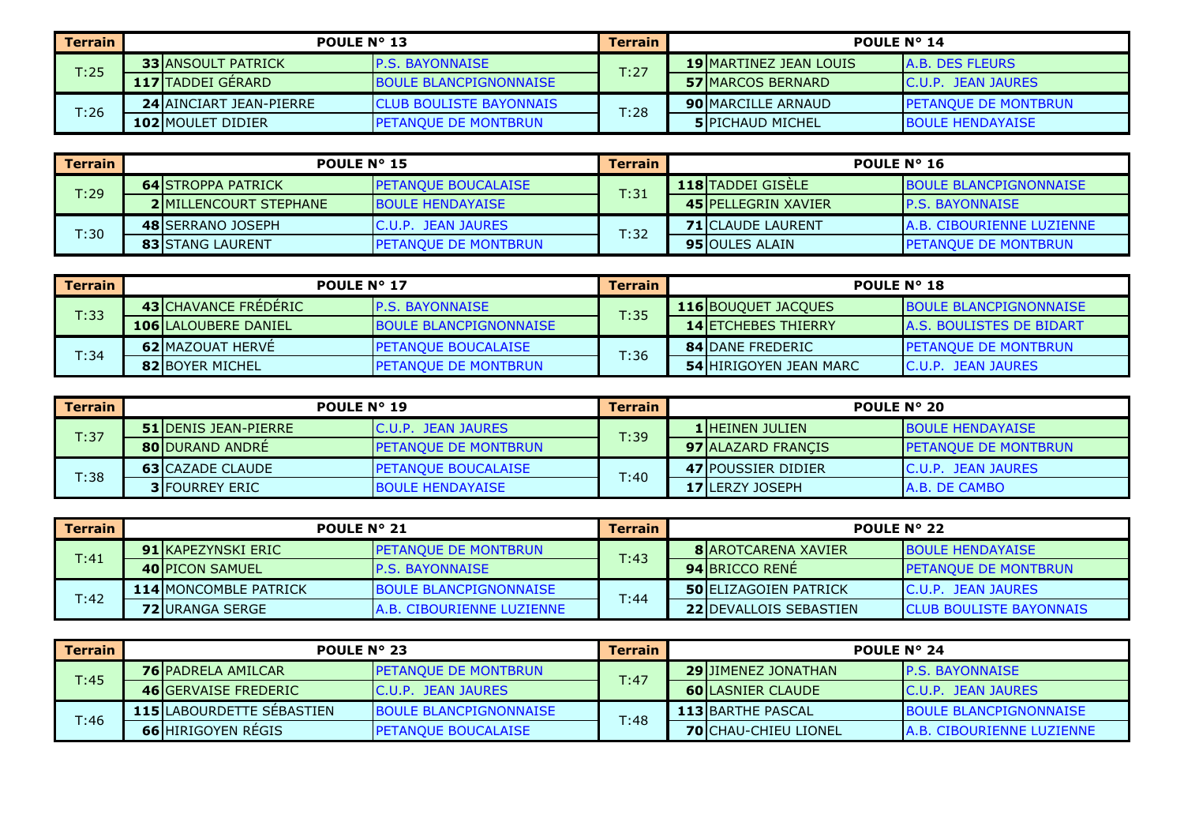| Terrain | <b>POULE N° 13</b>             |                                 | <b>Terrain</b> | POULE $N^{\circ}$ 14           |                              |  |
|---------|--------------------------------|---------------------------------|----------------|--------------------------------|------------------------------|--|
| T:25    | <b>33 JANSOULT PATRICK</b>     | <b>IP.S. BAYONNAISE</b>         | T:27           | <b>19 IMARTINEZ JEAN LOUIS</b> | A.B. DES FLEURS              |  |
|         | <b>117 TADDEI GÉRARD</b>       | <b>BOULE BLANCPIGNONNAISE</b>   |                | <b>57 MARCOS BERNARD</b>       | IC.U.P. JEAN JAURES          |  |
|         | <b>24 AINCIART JEAN-PIERRE</b> | <b>ICLUB BOULISTE BAYONNAIS</b> | T:28           | <b>90 MARCILLE ARNAUD</b>      | <b>IPETANOUE DE MONTBRUN</b> |  |
| T:26    | <b>102 MOULET DIDIER</b>       | <b>PETANOUE DE MONTBRUN</b>     |                | <b>5 PICHAUD MICHEL</b>        | <b>BOULE HENDAYAISE</b>      |  |

| Terrain | POULE N° 15                   |                              | Terrain | POULE $N^{\circ}$ 16       |                                  |  |
|---------|-------------------------------|------------------------------|---------|----------------------------|----------------------------------|--|
| T:29    | <b>64 STROPPA PATRICK</b>     | <b>IPETANQUE BOUCALAISE</b>  | T:31    | <b>118 TADDEI GISELE</b>   | <b>BOULE BLANCPIGNONNAISE</b>    |  |
|         | <b>2IMILLENCOURT STEPHANE</b> | <b>IBOULE HENDAYAISE</b>     |         | <b>45 PELLEGRIN XAVIER</b> | <b>IP.S. BAYONNAISE</b>          |  |
| T:30    | <b>48 SERRANO JOSEPH</b>      | IC.U.P. JEAN JAURES          | T:32    | <b>71 ICLAUDE LAURENT</b>  | <b>A.B. CIBOURIENNE LUZIENNE</b> |  |
|         | <b>83 ISTANG LAURENT</b>      | <b>IPETANQUE DE MONTBRUN</b> |         | <b>95 IOULES ALAIN</b>     | <b>PETANQUE DE MONTBRUN</b>      |  |

| Terrain | POULE N° 17                 |                                | <b>Terrain</b> | <b>POULE N° 18</b>            |                                  |  |
|---------|-----------------------------|--------------------------------|----------------|-------------------------------|----------------------------------|--|
| T:33    | <b>43 CHAVANCE FREDERIC</b> | <b>IP.S. BAYONNAISE</b>        | T:35           | <b>116 BOUQUET JACQUES</b>    | <b>BOULE BLANCPIGNONNAISE</b>    |  |
|         | <b>106 LALOUBERE DANIEL</b> | <b>IBOULE BLANCPIGNONNAISE</b> |                | <b>14 ETCHEBES THIERRY</b>    | <b>IA.S. BOULISTES DE BIDART</b> |  |
|         | <b>62 MAZOUAT HERVE</b>     | <b>PETANQUE BOUCALAISE</b>     |                | <b>84 IDANE FREDERIC</b>      | <b>IPETANOUE DE MONTBRUN</b>     |  |
| T:34    | <b>82 BOYER MICHEL</b>      | <b>IPETANQUE DE MONTBRUNA</b>  | T:36           | <b>54 HIRIGOYEN JEAN MARC</b> | <b>C.U.P. JEAN JAURES</b>        |  |

| Terrain | POULE N° 19                  |                             | <b>Terrain</b> | <b>POULE N° 20</b>        |                             |  |
|---------|------------------------------|-----------------------------|----------------|---------------------------|-----------------------------|--|
| T:37    | <b>51 IDENIS JEAN-PIERRE</b> | IC.U.P. JEAN JAURES         | T:39           | <b>1 HEINEN JULIEN</b>    | <b>IBOULE HENDAYAISE</b>    |  |
|         | <b>80 DURAND ANDRE</b>       | <b>PETANQUE DE MONTBRUN</b> |                | 97 ALAZARD FRANCIS        | <b>PETANQUE DE MONTBRUN</b> |  |
|         | <b>63 ICAZADE CLAUDE</b>     | <b>IPETANOUE BOUCALAISE</b> |                | <b>47 POUSSIER DIDIER</b> | IC.U.P. JEAN JAURES         |  |
| T:38    | <b>3 FOURREY ERIC</b>        | <b>BOULE HENDAYAISE</b>     | T:40           | <b>17ILERZY JOSEPH</b>    | IA.B. DE CAMBO              |  |

| Terrain | <b>POULE N° 21</b>            |                                  | <b>Terrain</b> | <b>POULE N° 22</b>             |                                 |  |
|---------|-------------------------------|----------------------------------|----------------|--------------------------------|---------------------------------|--|
| T:41    | <b>91 IKAPEZYNSKI ERIC</b>    | <b>IPETANOUE DE MONTBRUN</b>     | T:43           | <b>8 BAROTCARENA XAVIER</b>    | <b>IBOULE HENDAYAISE</b>        |  |
|         | <b>40 PICON SAMUEL</b>        | <b>IP.S. BAYONNAISE</b>          |                | <b>94 BRICCO RENE</b>          | <b>PETANQUE DE MONTBRUN</b>     |  |
|         | <b>114 IMONCOMBLE PATRICK</b> | <b>BOULE BLANCPIGNONNAISE</b>    |                | <b>50 ELIZAGOIEN PATRICK</b>   | <b>C.U.P. JEAN JAURES</b>       |  |
| T:42    | <b>72IURANGA SERGE</b>        | <b>A.B. CIBOURIENNE LUZIENNE</b> | T:44           | <b>22 IDEVALLOIS SEBASTIEN</b> | <b>ICLUB BOULISTE BAYONNAIS</b> |  |

| Terrain | <b>POULE N° 23</b>                |                               | Terrain | POULE $N^{\circ}$ 24 |                             |                                  |
|---------|-----------------------------------|-------------------------------|---------|----------------------|-----------------------------|----------------------------------|
| T:45    | <b>76 PADRELA AMILCAR</b>         | <b>IPETANOUE DE MONTBRUN</b>  | T:47    |                      | <b>29 JIMENEZ JONATHAN</b>  | <b>IP.S. BAYONNAISE</b>          |
|         | <b>46 IGERVAISE FREDERIC</b>      | IC.U.P. JEAN JAURES           |         |                      | <b>60 LASNIER CLAUDE</b>    | IC.U.P. JEAN JAURES              |
| T:46    | <b>115 ILABOURDETTE SEBASTIEN</b> | <b>BOULE BLANCPIGNONNAISE</b> | T:48    |                      | <b>113 BARTHE PASCAL</b>    | <b>BOULE BLANCPIGNONNAISE</b>    |
|         | <b>66 HIRIGOYEN REGIS</b>         | <b>IPETANOUE BOUCALAISE</b>   |         |                      | <b>70 CHAU-CHIEU LIONEL</b> | <b>A.B. CIBOURIENNE LUZIENNE</b> |